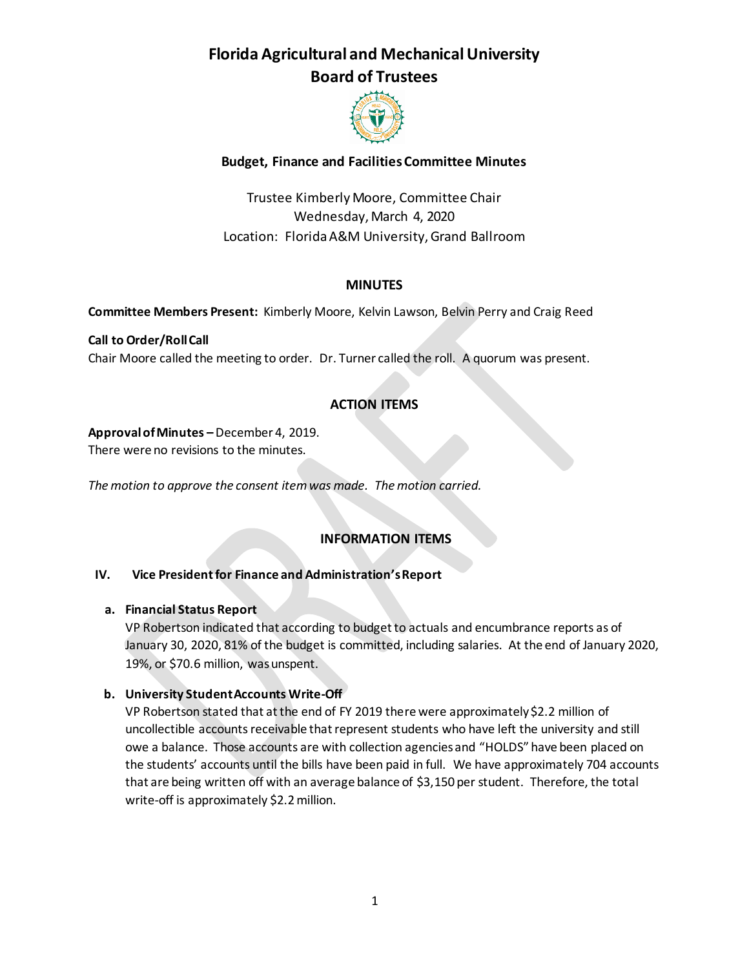

# **Budget, Finance and Facilities Committee Minutes**

Trustee Kimberly Moore, Committee Chair Wednesday, March 4, 2020 Location: Florida A&M University, Grand Ballroom

### **MINUTES**

**Committee Members Present:** Kimberly Moore, Kelvin Lawson, Belvin Perry and Craig Reed

**Call to Order/Roll Call** Chair Moore called the meeting to order. Dr. Turner called the roll. A quorum was present.

# **ACTION ITEMS**

**Approval of Minutes ʹ**December 4, 2019.

There were no revisions to the minutes.

*The motion to approve the consent item was made. The motion carried.* 

# **INFORMATION ITEMS**

#### **IV.** Vice President for Finance and Administration's Report

#### **a. Financial Status Report**

VP Robertson indicated that according to budget to actuals and encumbrance reports as of January 30, 2020, 81% of the budget is committed, including salaries. At the end of January 2020, 19%, or \$70.6 million, was unspent.

### **b. University Student Accounts Write-Off**

VP Robertson stated that at the end of FY 2019 there were approximately \$2.2 million of uncollectible accounts receivable that represent students who have left the university and still owe a balance. Those accounts are with collection agencies and "HOLDS" have been placed on the students' accounts until the bills have been paid in full. We have approximately 704 accounts that are being written off with an average balance of \$3,150 per student. Therefore, the total write-off is approximately \$2.2 million.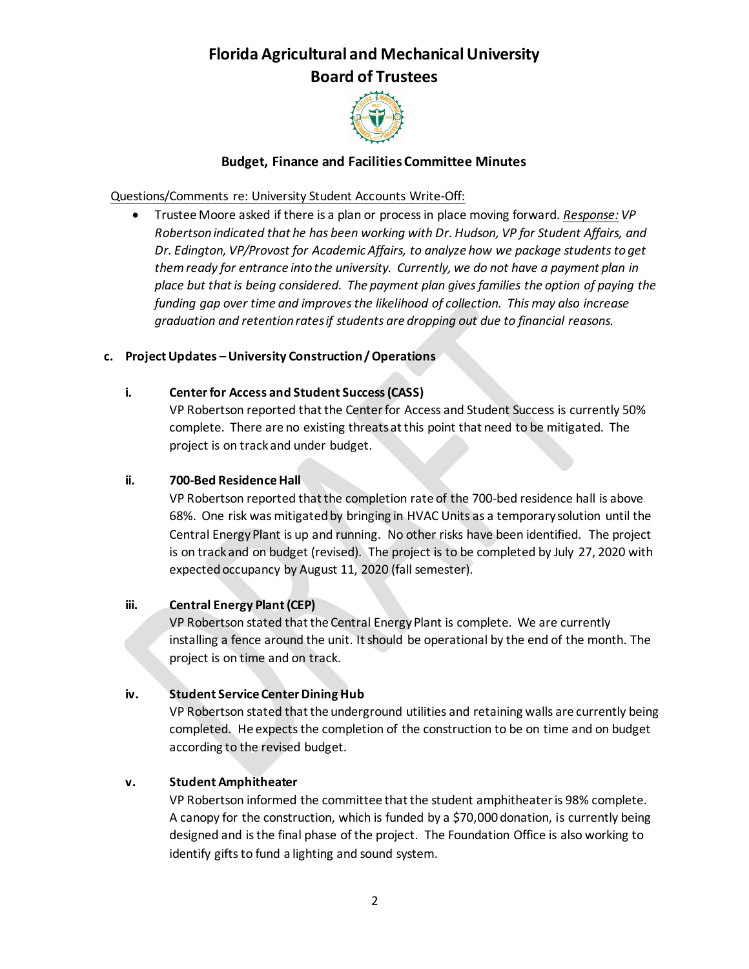

### **Budget, Finance and Facilities Committee Minutes**

#### Questions/Comments re: University Student Accounts Write-Off:

x Trustee Moore asked if there is a plan or process in place moving forward. *Response: VP Robertson indicated that he has been working with Dr. Hudson, VP for Student Affairs, and Dr. Edington, VP/Provost for Academic Affairs, to analyze how we package students to get them ready for entrance into the university. Currently, we do not have a payment plan in place but that is being considered. The payment plan gives families the option of paying the funding gap over time and improves the likelihood of collection. This may also increase graduation and retention rates if students are dropping out due to financial reasons.* 

### **c. Project Updates ʹUniversity Construction / Operations**

### **i. Center for Access and Student Success (CASS)**

VP Robertson reported that the Center for Access and Student Success is currently 50% complete. There are no existing threats at this point that need to be mitigated. The project is on track and under budget.

### **ii. 700-Bed Residence Hall**

VP Robertson reported that the completion rate of the 700-bed residence hall is above 68%. One risk was mitigated by bringing in HVAC Units as a temporary solution until the Central Energy Plant is up and running. No other risks have been identified. The project is on track and on budget (revised). The project is to be completed by July 27, 2020 with expected occupancy by August 11, 2020 (fall semester).

### **iii. Central Energy Plant (CEP)**

VP Robertson stated that the Central Energy Plant is complete. We are currently installing a fence around the unit. It should be operational by the end of the month. The project is on time and on track.

### **iv. Student Service Center Dining Hub**

VP Robertson stated that the underground utilities and retaining walls are currently being completed. He expects the completion of the construction to be on time and on budget according to the revised budget.

#### **v. Student Amphitheater**

VP Robertson informed the committee that the student amphitheater is 98% complete. A canopy for the construction, which is funded by a \$70,000 donation, is currently being designed and is the final phase of the project. The Foundation Office is also working to identify gifts to fund a lighting and sound system.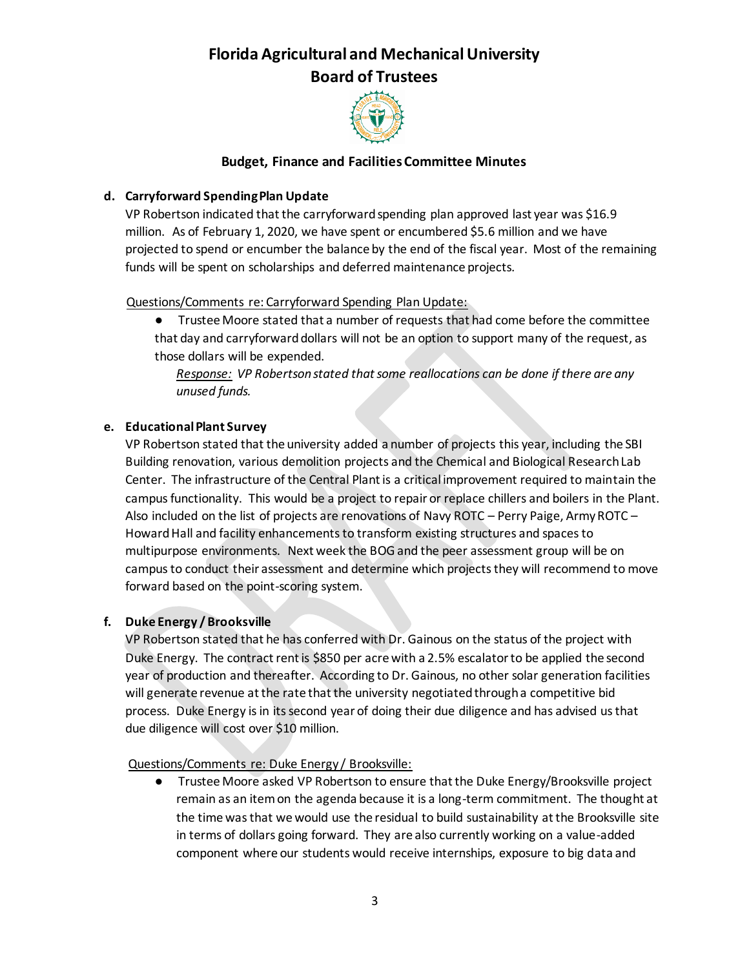

### **Budget, Finance and Facilities Committee Minutes**

### **d. Carryforward Spending Plan Update**

VP Robertson indicated that the carryforward spending plan approved last year was \$16.9 million. As of February 1, 2020, we have spent or encumbered \$5.6 million and we have projected to spend or encumber the balance by the end of the fiscal year. Most of the remaining funds will be spent on scholarships and deferred maintenance projects.

## Questions/Comments re: Carryforward Spending Plan Update:

**•** Trustee Moore stated that a number of requests that had come before the committee that day and carryforward dollars will not be an option to support many of the request, as those dollars will be expended.

*Response: VP Robertson stated that some reallocations can be done if there are any unused funds.*

## **e. Educational Plant Survey**

VP Robertson stated that the university added a number of projects this year, including the SBI Building renovation, various demolition projects and the Chemical and Biological Research Lab Center. The infrastructure of the Central Plant is a critical improvement required to maintain the campus functionality. This would be a project to repair or replace chillers and boilers in the Plant. Also included on the list of projects are renovations of Navy ROTC - Perry Paige, Army ROTC -Howard Hall and facility enhancements to transform existing structures and spaces to multipurpose environments. Next week the BOG and the peer assessment group will be on campus to conduct their assessment and determine which projects they will recommend to move forward based on the point-scoring system.

# **f. Duke Energy / Brooksville**

VP Robertson stated that he has conferred with Dr. Gainous on the status of the project with Duke Energy. The contract rent is \$850 per acre with a 2.5% escalator to be applied the second year of production and thereafter. According to Dr. Gainous, no other solar generation facilities will generate revenue at the rate that the university negotiated through a competitive bid process. Duke Energy is in its second year of doing their due diligence and has advised us that due diligence will cost over \$10 million.

### Questions/Comments re: Duke Energy / Brooksville:

• Trustee Moore asked VP Robertson to ensure that the Duke Energy/Brooksville project remain as an item on the agenda because it is a long-term commitment. The thought at the time was that we would use the residual to build sustainability at the Brooksville site in terms of dollars going forward. They are also currently working on a value-added component where our students would receive internships, exposure to big data and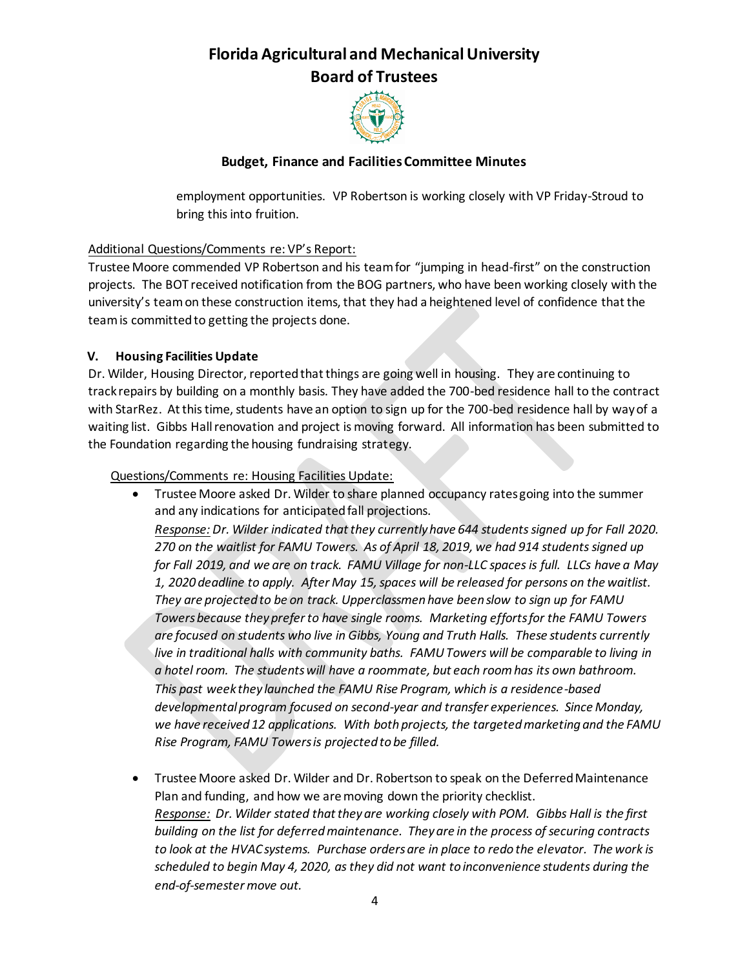

## **Budget, Finance and Facilities Committee Minutes**

employment opportunities. VP Robertson is working closely with VP Friday-Stroud to bring this into fruition.

### Additional Questions/Comments re: VP's Report:

Trustee Moore commended VP Robertson and his team for "jumping in head-first" on the construction projects. The BOT received notification from the BOG partners, who have been working closely with the university's team on these construction items, that they had a heightened level of confidence that the team is committed to getting the projects done.

### **V. Housing Facilities Update**

Dr. Wilder, Housing Director, reported that things are going well in housing. They are continuing to track repairs by building on a monthly basis. They have added the 700-bed residence hall to the contract with StarRez. At this time, students have an option to sign up for the 700-bed residence hall by way of a waiting list. Gibbs Hall renovation and project is moving forward. All information has been submitted to the Foundation regarding the housing fundraising strategy.

### Questions/Comments re: Housing Facilities Update:

• Trustee Moore asked Dr. Wilder to share planned occupancy rates going into the summer and any indications for anticipated fall projections.

*Response: Dr. Wilder indicated that they currently have 644 students signed up for Fall 2020. 270 on the waitlist for FAMU Towers. As of April 18, 2019, we had 914 students signed up for Fall 2019, and we are on track. FAMU Village for non-LLC spaces is full. LLCs have a May 1, 2020 deadline to apply. After May 15, spaces will be released for persons on the waitlist. They are projected to be on track. Upperclassmen have been slow to sign up for FAMU Towers because they prefer to have single rooms. Marketing efforts for the FAMU Towers are focused on students who live in Gibbs, Young and Truth Halls. These students currently live in traditional halls with community baths. FAMU Towers will be comparable to living in a hotel room. The students will have a roommate, but each room has its own bathroom. This past week they launched the FAMU Rise Program, which is a residence-based developmental program focused on second-year and transfer experiences. Since Monday, we have received 12 applications. With both projects, the targeted marketing and the FAMU Rise Program, FAMU Towers is projected to be filled.*

• Trustee Moore asked Dr. Wilder and Dr. Robertson to speak on the Deferred Maintenance Plan and funding, and how we are moving down the priority checklist. *Response: Dr. Wilder stated that they are working closely with POM. Gibbs Hall is the first building on the list for deferred maintenance. They are in the process of securing contracts to look at the HVAC systems. Purchase orders are in place to redo the elevator. The work is scheduled to begin May 4, 2020, as they did not want to inconvenience students during the end-of-semester move out.*